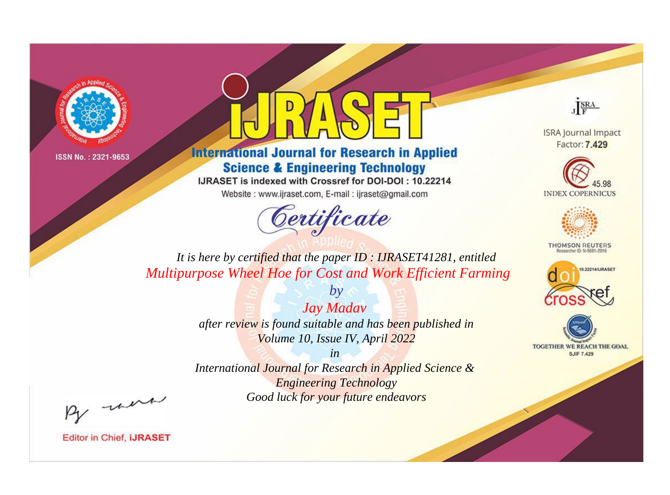



**International Journal for Research in Applied Science & Engineering Technology** 

IJRASET is indexed with Crossref for DOI-DOI: 10.22214

Website: www.ijraset.com, E-mail: ijraset@gmail.com



JERA

**ISRA Journal Impact** Factor: 7.429





**THOMSON REUTERS** 



TOGETHER WE REACH THE GOAL **SJIF 7.429** 

*It is here by certified that the paper ID : IJRASET41281, entitled Multipurpose Wheel Hoe for Cost and Work Efficient Farming*

> *Jay Madav after review is found suitable and has been published in Volume 10, Issue IV, April 2022*

*by*

*in* 

*International Journal for Research in Applied Science & Engineering Technology Good luck for your future endeavors*

By morn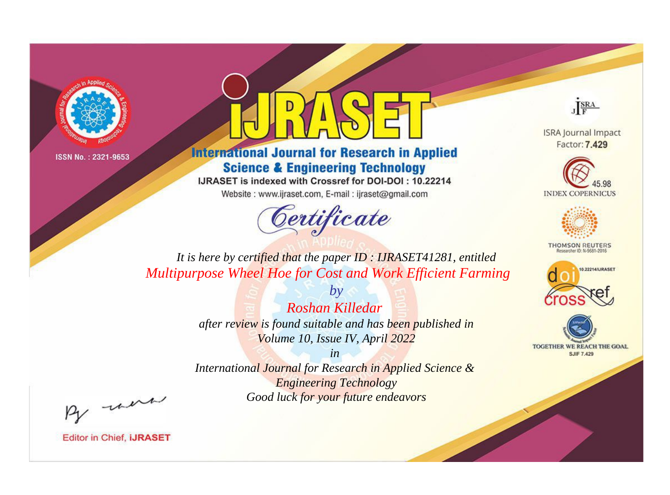



**International Journal for Research in Applied Science & Engineering Technology** 

IJRASET is indexed with Crossref for DOI-DOI: 10.22214

Website: www.ijraset.com, E-mail: ijraset@gmail.com



JERA

**ISRA Journal Impact** Factor: 7.429





**THOMSON REUTERS** 



TOGETHER WE REACH THE GOAL **SJIF 7.429** 

*It is here by certified that the paper ID : IJRASET41281, entitled Multipurpose Wheel Hoe for Cost and Work Efficient Farming*

> *Roshan Killedar after review is found suitable and has been published in Volume 10, Issue IV, April 2022*

*by*

*in* 

*International Journal for Research in Applied Science & Engineering Technology Good luck for your future endeavors*

By morn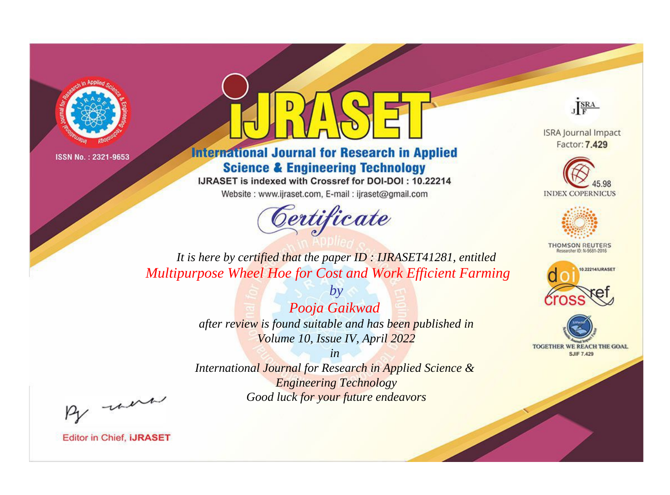



**International Journal for Research in Applied Science & Engineering Technology** 

IJRASET is indexed with Crossref for DOI-DOI: 10.22214

Website: www.ijraset.com, E-mail: ijraset@gmail.com



JERA

**ISRA Journal Impact** Factor: 7.429





**THOMSON REUTERS** 



TOGETHER WE REACH THE GOAL **SJIF 7.429** 

*It is here by certified that the paper ID : IJRASET41281, entitled Multipurpose Wheel Hoe for Cost and Work Efficient Farming*

> *Pooja Gaikwad after review is found suitable and has been published in Volume 10, Issue IV, April 2022*

*by*

*in* 

*International Journal for Research in Applied Science & Engineering Technology Good luck for your future endeavors*

By morn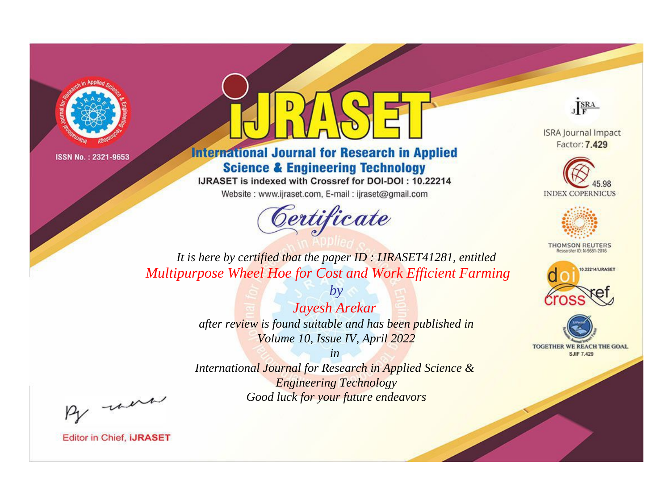



**International Journal for Research in Applied Science & Engineering Technology** 

IJRASET is indexed with Crossref for DOI-DOI: 10.22214

Website: www.ijraset.com, E-mail: ijraset@gmail.com



JERA

**ISRA Journal Impact** Factor: 7.429





**THOMSON REUTERS** 



TOGETHER WE REACH THE GOAL **SJIF 7.429** 

*It is here by certified that the paper ID : IJRASET41281, entitled Multipurpose Wheel Hoe for Cost and Work Efficient Farming*

> *Jayesh Arekar after review is found suitable and has been published in Volume 10, Issue IV, April 2022*

*by*

*in* 

*International Journal for Research in Applied Science & Engineering Technology Good luck for your future endeavors*

By morn